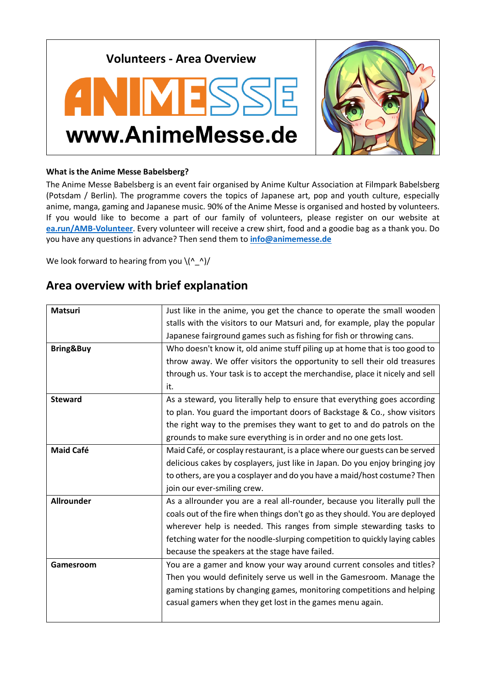**Volunteers - Area Overview**





## **What is the Anime Messe Babelsberg?**

The Anime Messe Babelsberg is an event fair organised by Anime Kultur Association at Filmpark Babelsberg (Potsdam / Berlin). The programme covers the topics of Japanese art, pop and youth culture, especially anime, manga, gaming and Japanese music. 90% of the Anime Messe is organised and hosted by volunteers. If you would like to become a part of our family of volunteers, please register on our website at **[ea.run/AMB-Volunteer](https://ea.run/AMB-Volunteer)**. Every volunteer will receive a crew shirt, food and a goodie bag as a thank you. Do you have any questions in advance? Then send them to **[info@animemesse.de](mailto:info@animemesse.de)**

We look forward to hearing from you  $\binom{n}{2}$ 

## **Area overview with brief explanation**

| <b>Matsuri</b>       | Just like in the anime, you get the chance to operate the small wooden       |
|----------------------|------------------------------------------------------------------------------|
|                      | stalls with the visitors to our Matsuri and, for example, play the popular   |
|                      | Japanese fairground games such as fishing for fish or throwing cans.         |
| <b>Bring&amp;Buy</b> | Who doesn't know it, old anime stuff piling up at home that is too good to   |
|                      | throw away. We offer visitors the opportunity to sell their old treasures    |
|                      | through us. Your task is to accept the merchandise, place it nicely and sell |
|                      | it.                                                                          |
| <b>Steward</b>       | As a steward, you literally help to ensure that everything goes according    |
|                      | to plan. You guard the important doors of Backstage & Co., show visitors     |
|                      | the right way to the premises they want to get to and do patrols on the      |
|                      | grounds to make sure everything is in order and no one gets lost.            |
| <b>Maid Café</b>     | Maid Café, or cosplay restaurant, is a place where our guests can be served  |
|                      | delicious cakes by cosplayers, just like in Japan. Do you enjoy bringing joy |
|                      | to others, are you a cosplayer and do you have a maid/host costume? Then     |
|                      | join our ever-smiling crew.                                                  |
| <b>Allrounder</b>    | As a allrounder you are a real all-rounder, because you literally pull the   |
|                      | coals out of the fire when things don't go as they should. You are deployed  |
|                      | wherever help is needed. This ranges from simple stewarding tasks to         |
|                      | fetching water for the noodle-slurping competition to quickly laying cables  |
|                      | because the speakers at the stage have failed.                               |
| Gamesroom            | You are a gamer and know your way around current consoles and titles?        |
|                      | Then you would definitely serve us well in the Gamesroom. Manage the         |
|                      | gaming stations by changing games, monitoring competitions and helping       |
|                      | casual gamers when they get lost in the games menu again.                    |
|                      |                                                                              |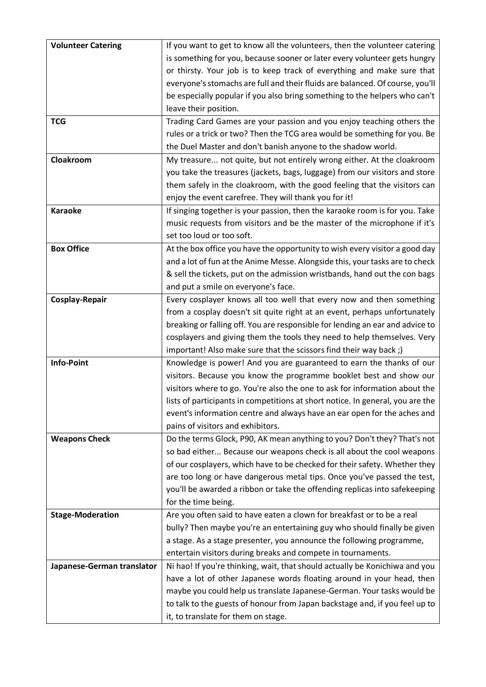| <b>Volunteer Catering</b>  | If you want to get to know all the volunteers, then the volunteer catering     |
|----------------------------|--------------------------------------------------------------------------------|
|                            | is something for you, because sooner or later every volunteer gets hungry      |
|                            | or thirsty. Your job is to keep track of everything and make sure that         |
|                            | everyone's stomachs are full and their fluids are balanced. Of course, you'll  |
|                            | be especially popular if you also bring something to the helpers who can't     |
|                            | leave their position.                                                          |
| <b>TCG</b>                 | Trading Card Games are your passion and you enjoy teaching others the          |
|                            | rules or a trick or two? Then the TCG area would be something for you. Be      |
|                            | the Duel Master and don't banish anyone to the shadow world.                   |
| Cloakroom                  | My treasure not quite, but not entirely wrong either. At the cloakroom         |
|                            | you take the treasures (jackets, bags, luggage) from our visitors and store    |
|                            | them safely in the cloakroom, with the good feeling that the visitors can      |
|                            | enjoy the event carefree. They will thank you for it!                          |
| <b>Karaoke</b>             | If singing together is your passion, then the karaoke room is for you. Take    |
|                            | music requests from visitors and be the master of the microphone if it's       |
|                            | set too loud or too soft.                                                      |
| <b>Box Office</b>          | At the box office you have the opportunity to wish every visitor a good day    |
|                            | and a lot of fun at the Anime Messe. Alongside this, your tasks are to check   |
|                            | & sell the tickets, put on the admission wristbands, hand out the con bags     |
|                            | and put a smile on everyone's face.                                            |
| <b>Cosplay-Repair</b>      | Every cosplayer knows all too well that every now and then something           |
|                            | from a cosplay doesn't sit quite right at an event, perhaps unfortunately      |
|                            | breaking or falling off. You are responsible for lending an ear and advice to  |
|                            | cosplayers and giving them the tools they need to help themselves. Very        |
|                            | important! Also make sure that the scissors find their way back ;)             |
| <b>Info-Point</b>          | Knowledge is power! And you are guaranteed to earn the thanks of our           |
|                            | visitors. Because you know the programme booklet best and show our             |
|                            | visitors where to go. You're also the one to ask for information about the     |
|                            | lists of participants in competitions at short notice. In general, you are the |
|                            | event's information centre and always have an ear open for the aches and       |
|                            | pains of visitors and exhibitors.                                              |
| <b>Weapons Check</b>       | Do the terms Glock, P90, AK mean anything to you? Don't they? That's not       |
|                            | so bad either Because our weapons check is all about the cool weapons          |
|                            | of our cosplayers, which have to be checked for their safety. Whether they     |
|                            | are too long or have dangerous metal tips. Once you've passed the test,        |
|                            | you'll be awarded a ribbon or take the offending replicas into safekeeping     |
|                            | for the time being.                                                            |
| <b>Stage-Moderation</b>    | Are you often said to have eaten a clown for breakfast or to be a real         |
|                            | bully? Then maybe you're an entertaining guy who should finally be given       |
|                            | a stage. As a stage presenter, you announce the following programme,           |
|                            | entertain visitors during breaks and compete in tournaments.                   |
| Japanese-German translator | Ni hao! If you're thinking, wait, that should actually be Konichiwa and you    |
|                            | have a lot of other Japanese words floating around in your head, then          |
|                            | maybe you could help us translate Japanese-German. Your tasks would be         |
|                            | to talk to the guests of honour from Japan backstage and, if you feel up to    |
|                            | it, to translate for them on stage.                                            |